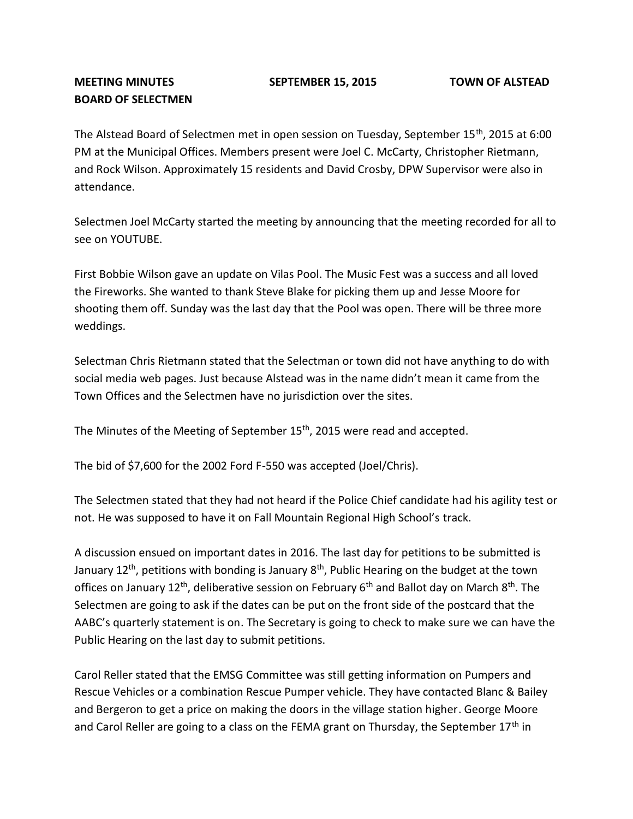## **MEETING MINUTES SEPTEMBER 15, 2015 TOWN OF ALSTEAD BOARD OF SELECTMEN**

The Alstead Board of Selectmen met in open session on Tuesday, September 15<sup>th</sup>, 2015 at 6:00 PM at the Municipal Offices. Members present were Joel C. McCarty, Christopher Rietmann, and Rock Wilson. Approximately 15 residents and David Crosby, DPW Supervisor were also in attendance.

Selectmen Joel McCarty started the meeting by announcing that the meeting recorded for all to see on YOUTUBE.

First Bobbie Wilson gave an update on Vilas Pool. The Music Fest was a success and all loved the Fireworks. She wanted to thank Steve Blake for picking them up and Jesse Moore for shooting them off. Sunday was the last day that the Pool was open. There will be three more weddings.

Selectman Chris Rietmann stated that the Selectman or town did not have anything to do with social media web pages. Just because Alstead was in the name didn't mean it came from the Town Offices and the Selectmen have no jurisdiction over the sites.

The Minutes of the Meeting of September 15<sup>th</sup>, 2015 were read and accepted.

The bid of \$7,600 for the 2002 Ford F-550 was accepted (Joel/Chris).

The Selectmen stated that they had not heard if the Police Chief candidate had his agility test or not. He was supposed to have it on Fall Mountain Regional High School's track.

A discussion ensued on important dates in 2016. The last day for petitions to be submitted is January  $12<sup>th</sup>$ , petitions with bonding is January  $8<sup>th</sup>$ , Public Hearing on the budget at the town offices on January 12<sup>th</sup>, deliberative session on February  $6<sup>th</sup>$  and Ballot day on March  $8<sup>th</sup>$ . The Selectmen are going to ask if the dates can be put on the front side of the postcard that the AABC's quarterly statement is on. The Secretary is going to check to make sure we can have the Public Hearing on the last day to submit petitions.

Carol Reller stated that the EMSG Committee was still getting information on Pumpers and Rescue Vehicles or a combination Rescue Pumper vehicle. They have contacted Blanc & Bailey and Bergeron to get a price on making the doors in the village station higher. George Moore and Carol Reller are going to a class on the FEMA grant on Thursday, the September 17<sup>th</sup> in